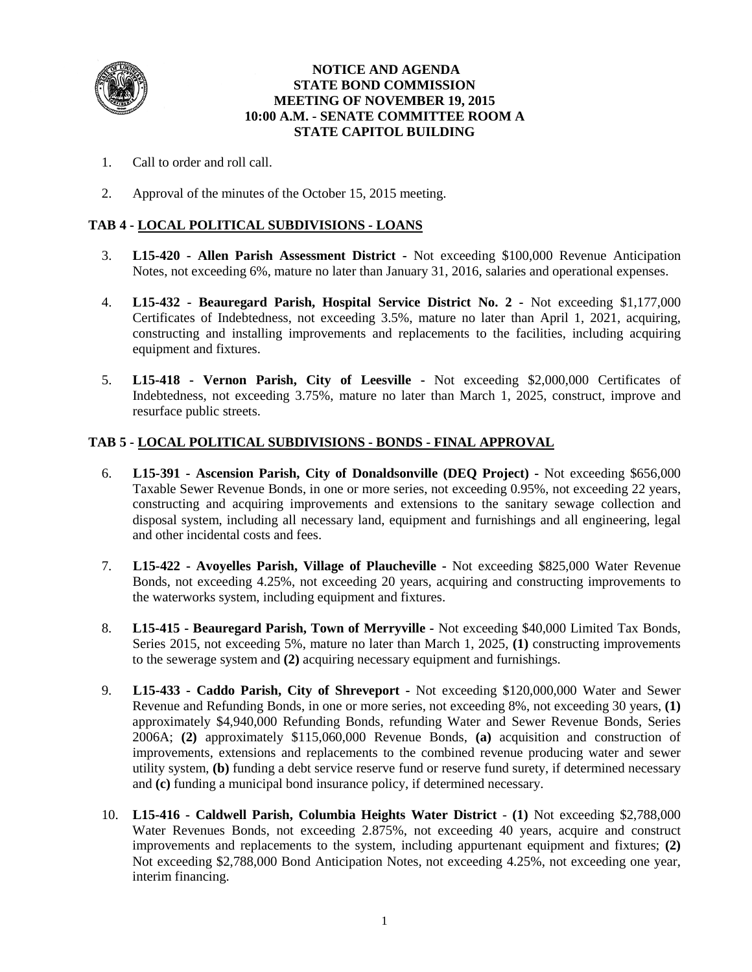

### **NOTICE AND AGENDA STATE BOND COMMISSION MEETING OF NOVEMBER 19, 2015 10:00 A.M. - SENATE COMMITTEE ROOM A STATE CAPITOL BUILDING**

- 1. Call to order and roll call.
- 2. Approval of the minutes of the October 15, 2015 meeting.

### **TAB 4 - LOCAL POLITICAL SUBDIVISIONS - LOANS**

- 3. **L15-420 - Allen Parish Assessment District -** Not exceeding \$100,000 Revenue Anticipation Notes, not exceeding 6%, mature no later than January 31, 2016, salaries and operational expenses.
- 4. **L15-432 - Beauregard Parish, Hospital Service District No. 2 -** Not exceeding \$1,177,000 Certificates of Indebtedness, not exceeding 3.5%, mature no later than April 1, 2021, acquiring, constructing and installing improvements and replacements to the facilities, including acquiring equipment and fixtures.
- 5. **L15-418 - Vernon Parish, City of Leesville -** Not exceeding \$2,000,000 Certificates of Indebtedness, not exceeding 3.75%, mature no later than March 1, 2025, construct, improve and resurface public streets.

### **TAB 5 - LOCAL POLITICAL SUBDIVISIONS - BONDS - FINAL APPROVAL**

- 6. **L15-391 - Ascension Parish, City of Donaldsonville (DEQ Project) -** Not exceeding \$656,000 Taxable Sewer Revenue Bonds, in one or more series, not exceeding 0.95%, not exceeding 22 years, constructing and acquiring improvements and extensions to the sanitary sewage collection and disposal system, including all necessary land, equipment and furnishings and all engineering, legal and other incidental costs and fees.
- 7. **L15-422 - Avoyelles Parish, Village of Plaucheville -** Not exceeding \$825,000 Water Revenue Bonds, not exceeding 4.25%, not exceeding 20 years, acquiring and constructing improvements to the waterworks system, including equipment and fixtures.
- 8. **L15-415 - Beauregard Parish, Town of Merryville -** Not exceeding \$40,000 Limited Tax Bonds, Series 2015, not exceeding 5%, mature no later than March 1, 2025, **(1)** constructing improvements to the sewerage system and **(2)** acquiring necessary equipment and furnishings.
- 9. **L15-433 - Caddo Parish, City of Shreveport -** Not exceeding \$120,000,000 Water and Sewer Revenue and Refunding Bonds, in one or more series, not exceeding 8%, not exceeding 30 years, **(1)** approximately \$4,940,000 Refunding Bonds, refunding Water and Sewer Revenue Bonds, Series 2006A; **(2)** approximately \$115,060,000 Revenue Bonds, **(a)** acquisition and construction of improvements, extensions and replacements to the combined revenue producing water and sewer utility system, **(b)** funding a debt service reserve fund or reserve fund surety, if determined necessary and **(c)** funding a municipal bond insurance policy, if determined necessary.
- 10. **L15-416 - Caldwell Parish, Columbia Heights Water District (1)** Not exceeding \$2,788,000 Water Revenues Bonds, not exceeding 2.875%, not exceeding 40 years, acquire and construct improvements and replacements to the system, including appurtenant equipment and fixtures; **(2)** Not exceeding \$2,788,000 Bond Anticipation Notes, not exceeding 4.25%, not exceeding one year, interim financing.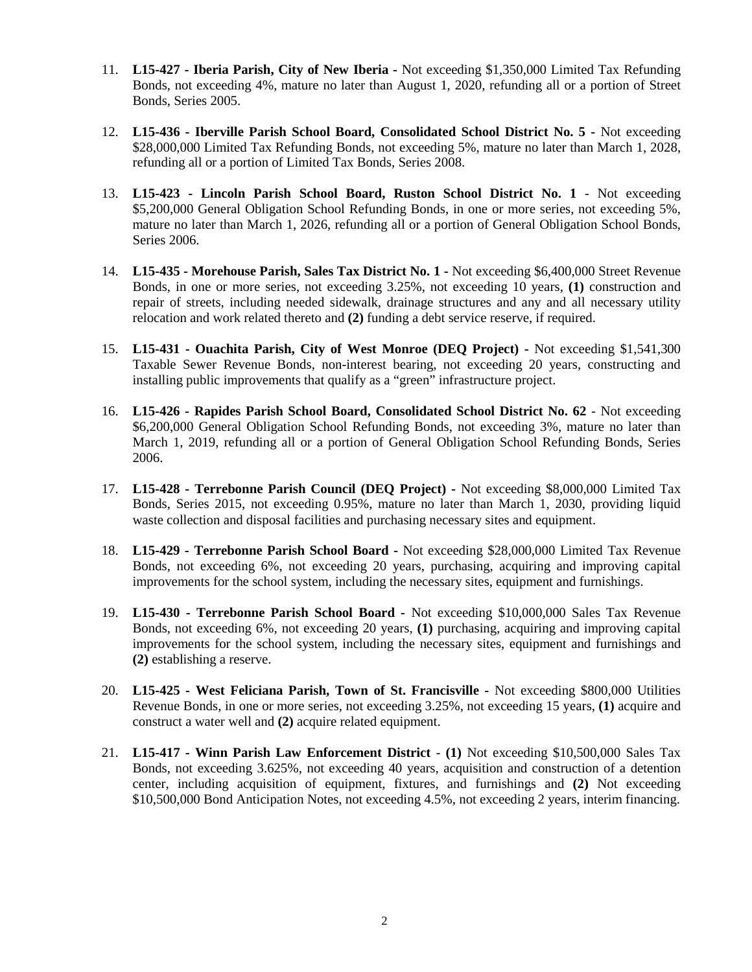- 11. **L15-427 - Iberia Parish, City of New Iberia -** Not exceeding \$1,350,000 Limited Tax Refunding Bonds, not exceeding 4%, mature no later than August 1, 2020, refunding all or a portion of Street Bonds, Series 2005.
- 12. **L15-436 - Iberville Parish School Board, Consolidated School District No. 5 -** Not exceeding \$28,000,000 Limited Tax Refunding Bonds, not exceeding 5%, mature no later than March 1, 2028, refunding all or a portion of Limited Tax Bonds, Series 2008.
- 13. **L15-423 - Lincoln Parish School Board, Ruston School District No. 1** Not exceeding \$5,200,000 General Obligation School Refunding Bonds, in one or more series, not exceeding 5%, mature no later than March 1, 2026, refunding all or a portion of General Obligation School Bonds, Series 2006.
- 14. **L15-435 - Morehouse Parish, Sales Tax District No. 1 -** Not exceeding \$6,400,000 Street Revenue Bonds, in one or more series, not exceeding 3.25%, not exceeding 10 years, **(1)** construction and repair of streets, including needed sidewalk, drainage structures and any and all necessary utility relocation and work related thereto and **(2)** funding a debt service reserve, if required.
- 15. **L15-431 - Ouachita Parish, City of West Monroe (DEQ Project) -** Not exceeding \$1,541,300 Taxable Sewer Revenue Bonds, non-interest bearing, not exceeding 20 years, constructing and installing public improvements that qualify as a "green" infrastructure project.
- 16. **L15-426 - Rapides Parish School Board, Consolidated School District No. 62** Not exceeding \$6,200,000 General Obligation School Refunding Bonds, not exceeding 3%, mature no later than March 1, 2019, refunding all or a portion of General Obligation School Refunding Bonds, Series 2006.
- 17. **L15-428 - Terrebonne Parish Council (DEQ Project) -** Not exceeding \$8,000,000 Limited Tax Bonds, Series 2015, not exceeding 0.95%, mature no later than March 1, 2030, providing liquid waste collection and disposal facilities and purchasing necessary sites and equipment.
- 18. **L15-429 - Terrebonne Parish School Board -** Not exceeding \$28,000,000 Limited Tax Revenue Bonds, not exceeding 6%, not exceeding 20 years, purchasing, acquiring and improving capital improvements for the school system, including the necessary sites, equipment and furnishings.
- 19. **L15-430 - Terrebonne Parish School Board -** Not exceeding \$10,000,000 Sales Tax Revenue Bonds, not exceeding 6%, not exceeding 20 years, **(1)** purchasing, acquiring and improving capital improvements for the school system, including the necessary sites, equipment and furnishings and **(2)** establishing a reserve.
- 20. **L15-425 - West Feliciana Parish, Town of St. Francisville -** Not exceeding \$800,000 Utilities Revenue Bonds, in one or more series, not exceeding 3.25%, not exceeding 15 years, **(1)** acquire and construct a water well and **(2)** acquire related equipment.
- 21. **L15-417 - Winn Parish Law Enforcement District (1)** Not exceeding \$10,500,000 Sales Tax Bonds, not exceeding 3.625%, not exceeding 40 years, acquisition and construction of a detention center, including acquisition of equipment, fixtures, and furnishings and **(2)** Not exceeding \$10,500,000 Bond Anticipation Notes, not exceeding 4.5%, not exceeding 2 years, interim financing.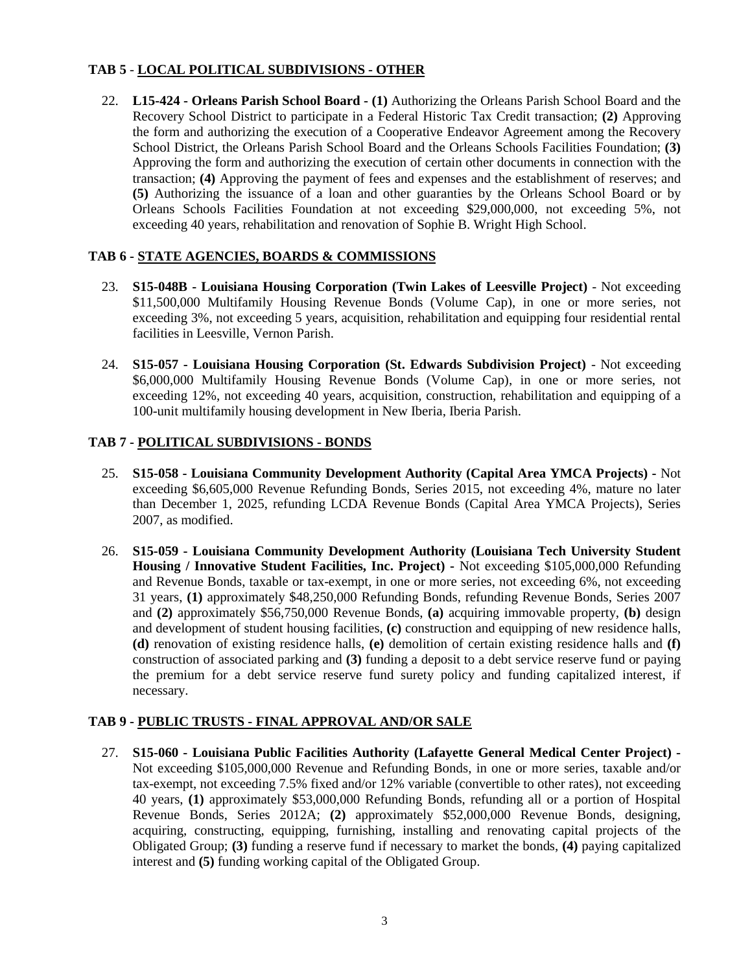## **TAB 5** - **LOCAL POLITICAL SUBDIVISIONS - OTHER**

22. **L15-424 - Orleans Parish School Board - (1)** Authorizing the Orleans Parish School Board and the Recovery School District to participate in a Federal Historic Tax Credit transaction; **(2)** Approving the form and authorizing the execution of a Cooperative Endeavor Agreement among the Recovery School District, the Orleans Parish School Board and the Orleans Schools Facilities Foundation; **(3)**  Approving the form and authorizing the execution of certain other documents in connection with the transaction; **(4)** Approving the payment of fees and expenses and the establishment of reserves; and **(5)** Authorizing the issuance of a loan and other guaranties by the Orleans School Board or by Orleans Schools Facilities Foundation at not exceeding \$29,000,000, not exceeding 5%, not exceeding 40 years, rehabilitation and renovation of Sophie B. Wright High School.

# **TAB 6 - STATE AGENCIES, BOARDS & COMMISSIONS**

- 23. **S15-048B - Louisiana Housing Corporation (Twin Lakes of Leesville Project)** Not exceeding \$11,500,000 Multifamily Housing Revenue Bonds (Volume Cap), in one or more series, not exceeding 3%, not exceeding 5 years, acquisition, rehabilitation and equipping four residential rental facilities in Leesville, Vernon Parish.
- 24. **S15-057 - Louisiana Housing Corporation (St. Edwards Subdivision Project)** Not exceeding \$6,000,000 Multifamily Housing Revenue Bonds (Volume Cap), in one or more series, not exceeding 12%, not exceeding 40 years, acquisition, construction, rehabilitation and equipping of a 100-unit multifamily housing development in New Iberia, Iberia Parish.

### **TAB 7 - POLITICAL SUBDIVISIONS - BONDS**

- 25. **S15-058 - Louisiana Community Development Authority (Capital Area YMCA Projects) -** Not exceeding \$6,605,000 Revenue Refunding Bonds, Series 2015, not exceeding 4%, mature no later than December 1, 2025, refunding LCDA Revenue Bonds (Capital Area YMCA Projects), Series 2007, as modified.
- 26. **S15-059 - Louisiana Community Development Authority (Louisiana Tech University Student Housing / Innovative Student Facilities, Inc. Project) -** Not exceeding \$105,000,000 Refunding and Revenue Bonds, taxable or tax-exempt, in one or more series, not exceeding 6%, not exceeding 31 years, **(1)** approximately \$48,250,000 Refunding Bonds, refunding Revenue Bonds, Series 2007 and **(2)** approximately \$56,750,000 Revenue Bonds, **(a)** acquiring immovable property, **(b)** design and development of student housing facilities, **(c)** construction and equipping of new residence halls, **(d)** renovation of existing residence halls, **(e)** demolition of certain existing residence halls and **(f)** construction of associated parking and **(3)** funding a deposit to a debt service reserve fund or paying the premium for a debt service reserve fund surety policy and funding capitalized interest, if necessary.

## **TAB 9 - PUBLIC TRUSTS - FINAL APPROVAL AND/OR SALE**

27. **S15-060 - Louisiana Public Facilities Authority (Lafayette General Medical Center Project) -** Not exceeding \$105,000,000 Revenue and Refunding Bonds, in one or more series, taxable and/or tax-exempt, not exceeding 7.5% fixed and/or 12% variable (convertible to other rates), not exceeding 40 years, **(1)** approximately \$53,000,000 Refunding Bonds, refunding all or a portion of Hospital Revenue Bonds, Series 2012A; **(2)** approximately \$52,000,000 Revenue Bonds, designing, acquiring, constructing, equipping, furnishing, installing and renovating capital projects of the Obligated Group; **(3)** funding a reserve fund if necessary to market the bonds, **(4)** paying capitalized interest and **(5)** funding working capital of the Obligated Group.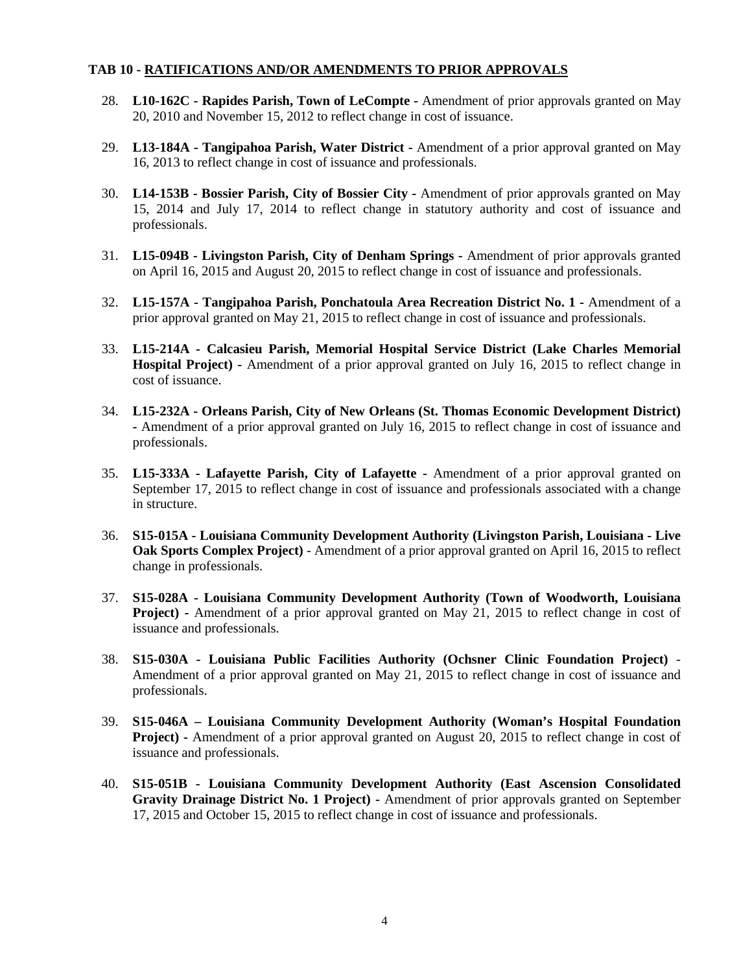#### **TAB 10 - RATIFICATIONS AND/OR AMENDMENTS TO PRIOR APPROVALS**

- 28. **L10-162C - Rapides Parish, Town of LeCompte -** Amendment of prior approvals granted on May 20, 2010 and November 15, 2012 to reflect change in cost of issuance.
- 29. **L13-184A - Tangipahoa Parish, Water District -** Amendment of a prior approval granted on May 16, 2013 to reflect change in cost of issuance and professionals.
- 30. **L14-153B - Bossier Parish, City of Bossier City -** Amendment of prior approvals granted on May 15, 2014 and July 17, 2014 to reflect change in statutory authority and cost of issuance and professionals.
- 31. **L15-094B - Livingston Parish, City of Denham Springs -** Amendment of prior approvals granted on April 16, 2015 and August 20, 2015 to reflect change in cost of issuance and professionals.
- 32. **L15-157A - Tangipahoa Parish, Ponchatoula Area Recreation District No. 1 -** Amendment of a prior approval granted on May 21, 2015 to reflect change in cost of issuance and professionals.
- 33. **L15-214A - Calcasieu Parish, Memorial Hospital Service District (Lake Charles Memorial Hospital Project) -** Amendment of a prior approval granted on July 16, 2015 to reflect change in cost of issuance.
- 34. **L15-232A - Orleans Parish, City of New Orleans (St. Thomas Economic Development District) -** Amendment of a prior approval granted on July 16, 2015 to reflect change in cost of issuance and professionals.
- 35. **L15-333A - Lafayette Parish, City of Lafayette -** Amendment of a prior approval granted on September 17, 2015 to reflect change in cost of issuance and professionals associated with a change in structure.
- 36. **S15-015A - Louisiana Community Development Authority (Livingston Parish, Louisiana - Live Oak Sports Complex Project)** - Amendment of a prior approval granted on April 16, 2015 to reflect change in professionals.
- 37. **S15-028A - Louisiana Community Development Authority (Town of Woodworth, Louisiana Project) -** Amendment of a prior approval granted on May 21, 2015 to reflect change in cost of issuance and professionals.
- 38. **S15-030A - Louisiana Public Facilities Authority (Ochsner Clinic Foundation Project)**  Amendment of a prior approval granted on May 21, 2015 to reflect change in cost of issuance and professionals.
- 39. **S15-046A – Louisiana Community Development Authority (Woman's Hospital Foundation Project) -** Amendment of a prior approval granted on August 20, 2015 to reflect change in cost of issuance and professionals.
- 40. **S15-051B - Louisiana Community Development Authority (East Ascension Consolidated Gravity Drainage District No. 1 Project) -** Amendment of prior approvals granted on September 17, 2015 and October 15, 2015 to reflect change in cost of issuance and professionals.